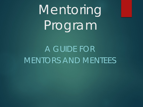# Mentoring Program

A GUIDE FOR MENTORS AND MENTEES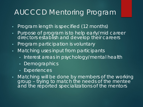### AUCCCD Mentoring Program

- Program length is specified (12 months)
- Purpose of program is to help early/mid career directors establish and develop their careers
- Program participation is voluntary
- Matching uses input from participants
	- Interest areas in psychology/mental health
	- Demographics
	- Experiences
- Matching will be done by members of the working group – trying to match the needs of the mentee and the reported specializations of the mentors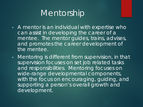### Mentorship

- A mentor is an individual with expertise who can assist in developing the career of a mentee. The mentor guides, trains, advises, and promotes the career development of the mentee.
- Mentoring is different from supervision, in that supervision focuses on set job related tasks and responsibilities. Mentoring focuses on wide-range developmental components, with the focus on encouraging, guiding, and supporting a person's overall growth and development.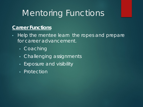# Mentoring Functions

#### **Career Functions**

- Help the mentee learn the ropes and prepare for career advancement.
	- Coaching
	- Challenging assignments
	- Exposure and visibility
	- Protection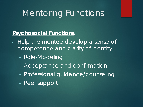# Mentoring Functions

### **Psychosocial Functions**

- Help the mentee develop a sense of competence and clarity of identity.
	- Role-Modeling
	- Acceptance and confirmation
	- Professional quidance/counseling
	- Peer support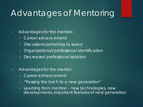# Advantages of Mentoring

#### • Advantages for the mentee:

- Career advancement
- Discussions pertaining to salary
- Organizational/professional identification
- Decreased professional isolation
- Advantages for the mentor:
	- Career enhancement
	- "Passing the torch to a new generation"
	- Learning from mentee new technologies, new developments, important features of next generation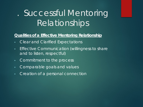# . Successful Mentoring **Relationships**

#### **Qualities of a Effective Mentoring Relationship**

- Clear and Clarified Expectations
- Effective Communication (willingness to share and to listen, respectful)
- Commitment to the process
- Comparable goals and values
- Creation of a personal connection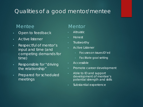### Qualities of a good mentor/mentee

#### Mentee

- Open to feedback
- Active listener
- Respectful of mentor's input and time (and competing demands for time)
- Responsible for "driving" the relationship"
- Prepared for scheduled meetings

#### **Mentor**

- Altruistic
- Honest
- Trustworthy
- Active Listener
	- Focuses on issues ID'ed
	- Facilitate goal setting
- Accessible
- Promote career development
- Able to ID and support development of mentee's potential strength and skills
- Substantial experience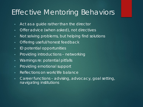### **Effective Mentoring Behaviors**

- Act as a guide rather than the director
- Offer advice (when asked), not directives
- Not solving problems, but helping find solutions
- Offering useful/honest feedback
- ID potential opportunities
- Providing introductions networking
- Warnings re: potential pitfalls
- Providing emotional support
- Reflections on work/life balance
- Career functions advising, advocacy, goal setting, navigating institutions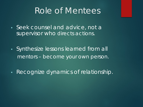### Role of Mentees

- Seek counsel and advice, not a supervisor who directs actions.
- Synthesize lessons learned from all mentors – become your own person.
- Recognize dynamics of relationship.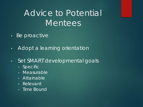# Advice to Potential Mentees

- Be proactive
- Adopt a learning orientation
- Set SMART developmental goals
	- Specific
	- Measurable
	- Attainable
	- Relevant
	- Time Bound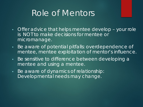### Role of Mentors

- Offer advice that helps mentee develop your role is NOT to make decisions for mentee or micromanage.
- Be aware of potential pitfalls: overdependence of mentee, mentee exploitation of mentor's influence.
- Be sensitive to difference between developing a mentee and using a mentee.
- Be aware of dynamics of relationship: Developmental needs may change.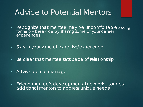### Advice to Potential Mentors

- Recognize that mentee may be uncomfortable asking for help – break ice by sharing some of your career experiences
- Stay in your zone of expertise/experience
- Be clear that mentee sets pace of relationship
- Advise, do not manage
- Extend mentee's developmental network suggest additional mentors to address unique needs